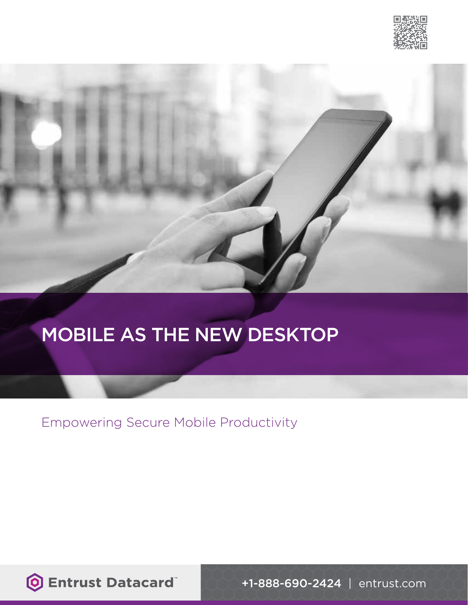



# MOBILE AS THE NEW DESKTOP

Empowering Secure Mobile Productivity

**O Entrust Datacard** 

+1-888-690-2424 | entrust.com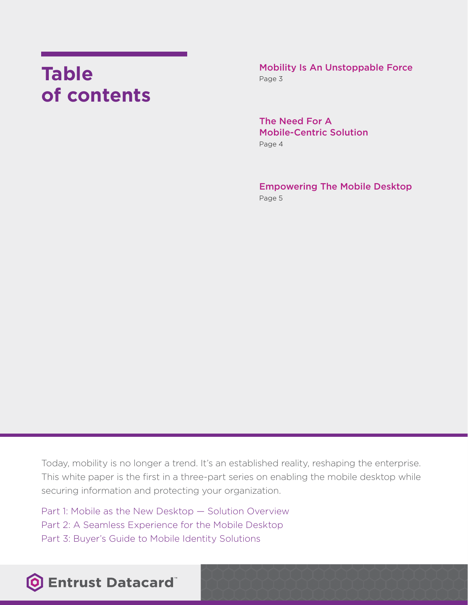# **Table of contents**

Mobility Is An Unstoppable Force Page 3

The Need For A Mobile-Centric Solution Page 4

Empowering The Mobile Desktop Page 5

Today, mobility is no longer a trend. It's an established reality, reshaping the enterprise. This white paper is the first in a three-part series on enabling the mobile desktop while securing information and protecting your organization.

Part 1: Mobile as the New Desktop — Solution Overview Part 2: A Seamless Experience for the Mobile Desktop Part 3: Buyer's Guide to Mobile Identity Solutions

### **O Entrust Datacard**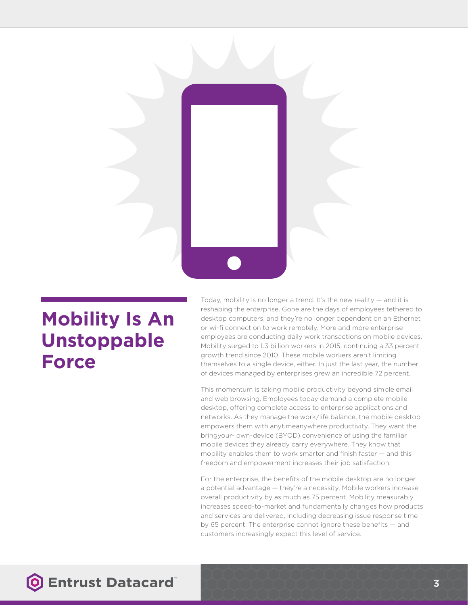

## **Mobility Is An Unstoppable Force**

Today, mobility is no longer a trend. It's the new reality — and it is reshaping the enterprise. Gone are the days of employees tethered to desktop computers, and they're no longer dependent on an Ethernet or wi-fi connection to work remotely. More and more enterprise employees are conducting daily work transactions on mobile devices. Mobility surged to 1.3 billion workers in 2015, continuing a 33 percent growth trend since 2010. These mobile workers aren't limiting themselves to a single device, either. In just the last year, the number of devices managed by enterprises grew an incredible 72 percent.

This momentum is taking mobile productivity beyond simple email and web browsing. Employees today demand a complete mobile desktop, offering complete access to enterprise applications and networks. As they manage the work/life balance, the mobile desktop empowers them with anytimeanywhere productivity. They want the bringyour- own-device (BYOD) convenience of using the familiar mobile devices they already carry everywhere. They know that mobility enables them to work smarter and finish faster — and this freedom and empowerment increases their job satisfaction.

For the enterprise, the benefits of the mobile desktop are no longer a potential advantage — they're a necessity. Mobile workers increase overall productivity by as much as 75 percent. Mobility measurably increases speed-to-market and fundamentally changes how products and services are delivered, including decreasing issue response time by 65 percent. The enterprise cannot ignore these benefits — and customers increasingly expect this level of service.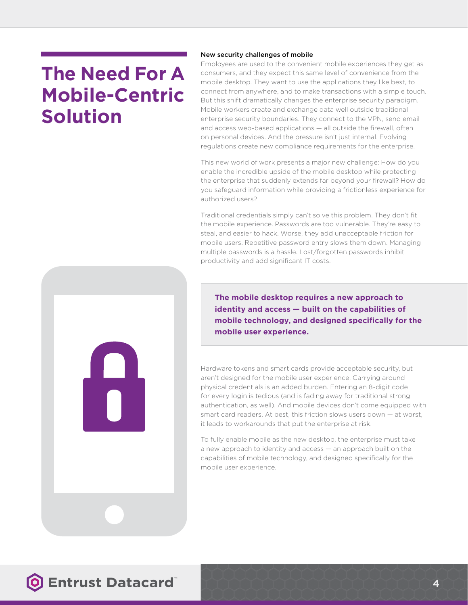# **The Need For A Mobile-Centric Solution**

#### New security challenges of mobile

Employees are used to the convenient mobile experiences they get as consumers, and they expect this same level of convenience from the mobile desktop. They want to use the applications they like best, to connect from anywhere, and to make transactions with a simple touch. But this shift dramatically changes the enterprise security paradigm. Mobile workers create and exchange data well outside traditional enterprise security boundaries. They connect to the VPN, send email and access web-based applications — all outside the firewall, often on personal devices. And the pressure isn't just internal. Evolving regulations create new compliance requirements for the enterprise.

This new world of work presents a major new challenge: How do you enable the incredible upside of the mobile desktop while protecting the enterprise that suddenly extends far beyond your firewall? How do you safeguard information while providing a frictionless experience for authorized users?

Traditional credentials simply can't solve this problem. They don't fit the mobile experience. Passwords are too vulnerable. They're easy to steal, and easier to hack. Worse, they add unacceptable friction for mobile users. Repetitive password entry slows them down. Managing multiple passwords is a hassle. Lost/forgotten passwords inhibit productivity and add significant IT costs.

**The mobile desktop requires a new approach to identity and access — built on the capabilities of mobile technology, and designed specifically for the mobile user experience.**

Hardware tokens and smart cards provide acceptable security, but aren't designed for the mobile user experience. Carrying around physical credentials is an added burden. Entering an 8-digit code for every login is tedious (and is fading away for traditional strong authentication, as well). And mobile devices don't come equipped with smart card readers. At best, this friction slows users down — at worst, it leads to workarounds that put the enterprise at risk.

To fully enable mobile as the new desktop, the enterprise must take a new approach to identity and access — an approach built on the capabilities of mobile technology, and designed specifically for the mobile user experience.

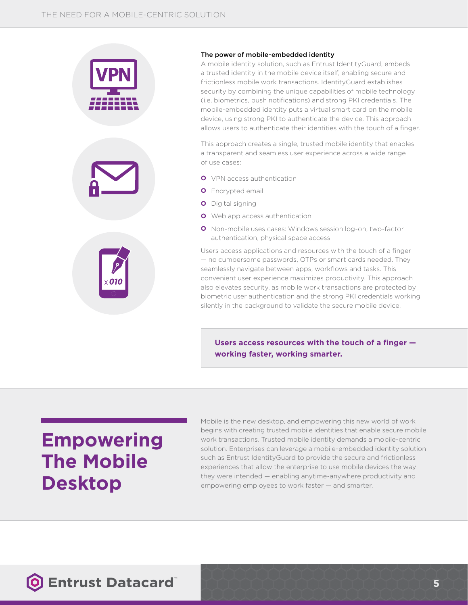

#### The power of mobile-embedded identity

A mobile identity solution, such as Entrust IdentityGuard, embeds a trusted identity in the mobile device itself, enabling secure and frictionless mobile work transactions. IdentityGuard establishes security by combining the unique capabilities of mobile technology (i.e. biometrics, push notifications) and strong PKI credentials. The mobile-embedded identity puts a virtual smart card on the mobile device, using strong PKI to authenticate the device. This approach allows users to authenticate their identities with the touch of a finger.

This approach creates a single, trusted mobile identity that enables a transparent and seamless user experience across a wide range of use cases:

- **O** VPN access authentication
- **O** Encrypted email
- **O** Digital signing
- **O** Web app access authentication
- **O** Non-mobile uses cases: Windows session log-on, two-factor authentication, physical space access

Users access applications and resources with the touch of a finger — no cumbersome passwords, OTPs or smart cards needed. They seamlessly navigate between apps, workflows and tasks. This convenient user experience maximizes productivity. This approach also elevates security, as mobile work transactions are protected by biometric user authentication and the strong PKI credentials working silently in the background to validate the secure mobile device.

**Users access resources with the touch of a finger working faster, working smarter.**

# **Empowering The Mobile Desktop**

Mobile is the new desktop, and empowering this new world of work begins with creating trusted mobile identities that enable secure mobile work transactions. Trusted mobile identity demands a mobile-centric solution. Enterprises can leverage a mobile-embedded identity solution such as Entrust IdentityGuard to provide the secure and frictionless experiences that allow the enterprise to use mobile devices the way they were intended — enabling anytime-anywhere productivity and empowering employees to work faster — and smarter.

### **O Entrust Datacard**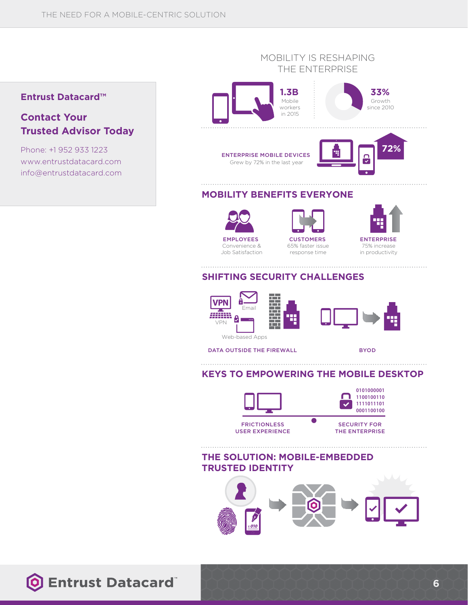### **Entrust Datacard™**

### **Contact Your Trusted Advisor Today**

Phone: +1 952 933 1223 www.entrustdatacard.com info@entrustdatacard.com

#### MOBILITY IS RESHAPING THE ENTERPRISE





ENTERPRISE MOBILE DEVICES Grew by 72% in the last year



### **MOBILITY BENEFITS EVERYONE**



Convenience & Job Satisfaction



**CUSTOMERS** 65% faster issue response time

**ENTERPRISE** 75% increase

in productivity

### **SHIFTING SECURITY CHALLENGES**



DATA OUTSIDE THE FIREWALL

BYOD

#### **KEYS TO EMPOWERING THE MOBILE DESKTOP**



**THE SOLUTION: MOBILE-EMBEDDED TRUSTED IDENTITY**